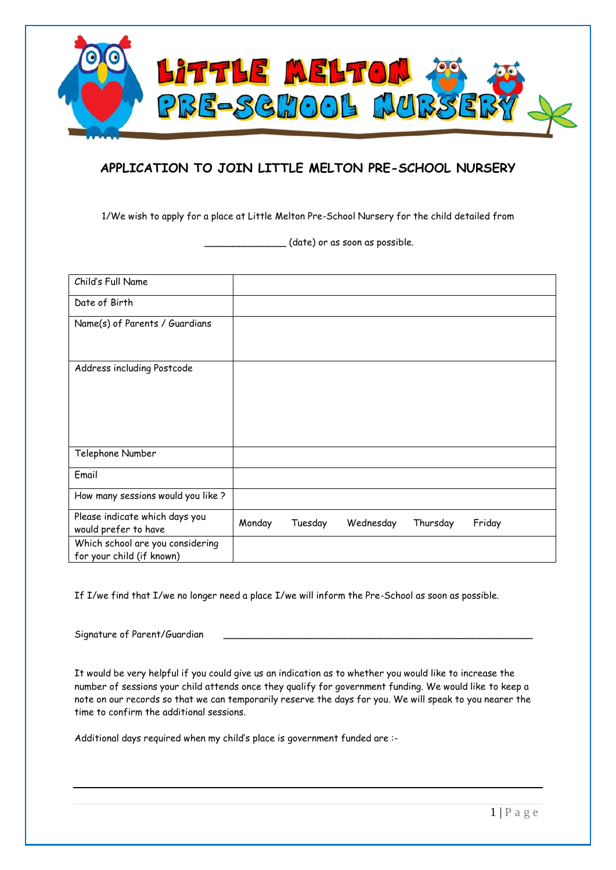

## **APPLICATION TO JOIN LITTLE MELTON PRE-SCHOOL NURSERY**

1/We wish to apply for a place at Little Melton Pre-School Nursery for the child detailed from

\_\_\_\_\_\_\_\_\_\_\_\_\_\_ (date) or as soon as possible.

| Child's Full Name                                             |        |         |           |          |        |
|---------------------------------------------------------------|--------|---------|-----------|----------|--------|
| Date of Birth                                                 |        |         |           |          |        |
| Name(s) of Parents / Guardians                                |        |         |           |          |        |
| Address including Postcode                                    |        |         |           |          |        |
|                                                               |        |         |           |          |        |
|                                                               |        |         |           |          |        |
| Telephone Number                                              |        |         |           |          |        |
| Email                                                         |        |         |           |          |        |
| How many sessions would you like ?                            |        |         |           |          |        |
| Please indicate which days you<br>would prefer to have        | Monday | Tuesday | Wednesday | Thursday | Friday |
| Which school are you considering<br>for your child (if known) |        |         |           |          |        |

If I/we find that I/we no longer need a place I/we will inform the Pre-School as soon as possible.

Signature of Parent/Guardian

It would be very helpful if you could give us an indication as to whether you would like to increase the number of sessions your child attends once they qualify for government funding. We would like to keep a note on our records so that we can temporarily reserve the days for you. We will speak to you nearer the time to confirm the additional sessions.

Additional days required when my child's place is government funded are :-